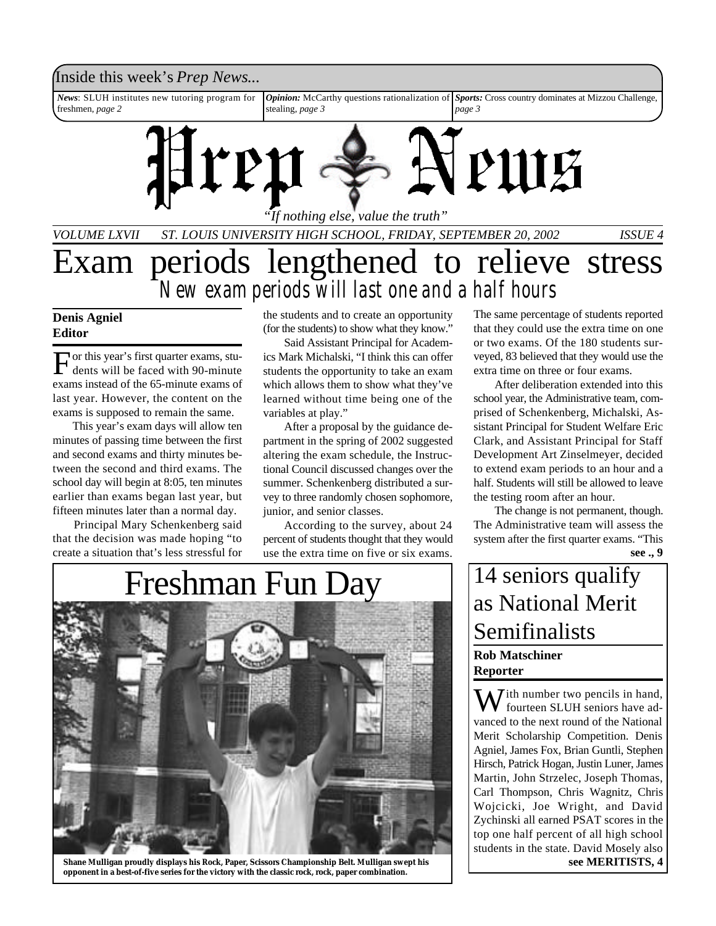## Inside this week's *Prep News*...

*News*: SLUH institutes new tutoring program for freshmen, *page 2 Opinion:* McCarthy questions rationalization of stealing, *page 3 Sports:* Cross country dominates at Mizzou Challenge, *page 3*



*VOLUME LXVII ST. LOUIS UNIVERSITY HIGH SCHOOL, FRIDAY, SEPTEMBER 20, 2002 ISSUE 4*

# Exam periods lengthened to relieve stress *New exam periods will last one and a half hours*

## **Denis Agniel Editor**

For this year's first quarter exams, stu-<br>dents will be faced with 90-minute dents will be faced with 90-minute exams instead of the 65-minute exams of last year. However, the content on the exams is supposed to remain the same.

This year's exam days will allow ten minutes of passing time between the first and second exams and thirty minutes between the second and third exams. The school day will begin at 8:05, ten minutes earlier than exams began last year, but fifteen minutes later than a normal day.

Principal Mary Schenkenberg said that the decision was made hoping "to create a situation that's less stressful for

the students and to create an opportunity (for the students) to show what they know."

Said Assistant Principal for Academics Mark Michalski, "I think this can offer students the opportunity to take an exam which allows them to show what they've learned without time being one of the variables at play."

After a proposal by the guidance department in the spring of 2002 suggested altering the exam schedule, the Instructional Council discussed changes over the summer. Schenkenberg distributed a survey to three randomly chosen sophomore, junior, and senior classes.

According to the survey, about 24 percent of students thought that they would use the extra time on five or six exams.

The same percentage of students reported that they could use the extra time on one or two exams. Of the 180 students surveyed, 83 believed that they would use the extra time on three or four exams.

After deliberation extended into this school year, the Administrative team, comprised of Schenkenberg, Michalski, Assistant Principal for Student Welfare Eric Clark, and Assistant Principal for Staff Development Art Zinselmeyer, decided to extend exam periods to an hour and a half. Students will still be allowed to leave the testing room after an hour.

The change is not permanent, though. The Administrative team will assess the system after the first quarter exams. "This **see ., 9**

# Freshman Fun J

**Shane Mulligan proudly displays his Rock, Paper, Scissors Championship Belt. Mulligan swept his see MERITISTS, 4 opponent in a best-of-five series for the victory with the classic rock, rock, paper combination.**

## 14 seniors qualify as National Merit Semifinalists **Rob Matschiner Reporter**

*ith number two pencils in hand,* fourteen SLUH seniors have advanced to the next round of the National Merit Scholarship Competition. Denis Agniel, James Fox, Brian Guntli, Stephen Hirsch, Patrick Hogan, Justin Luner, James Martin, John Strzelec, Joseph Thomas, Carl Thompson, Chris Wagnitz, Chris Wojcicki, Joe Wright, and David Zychinski all earned PSAT scores in the top one half percent of all high school students in the state. David Mosely also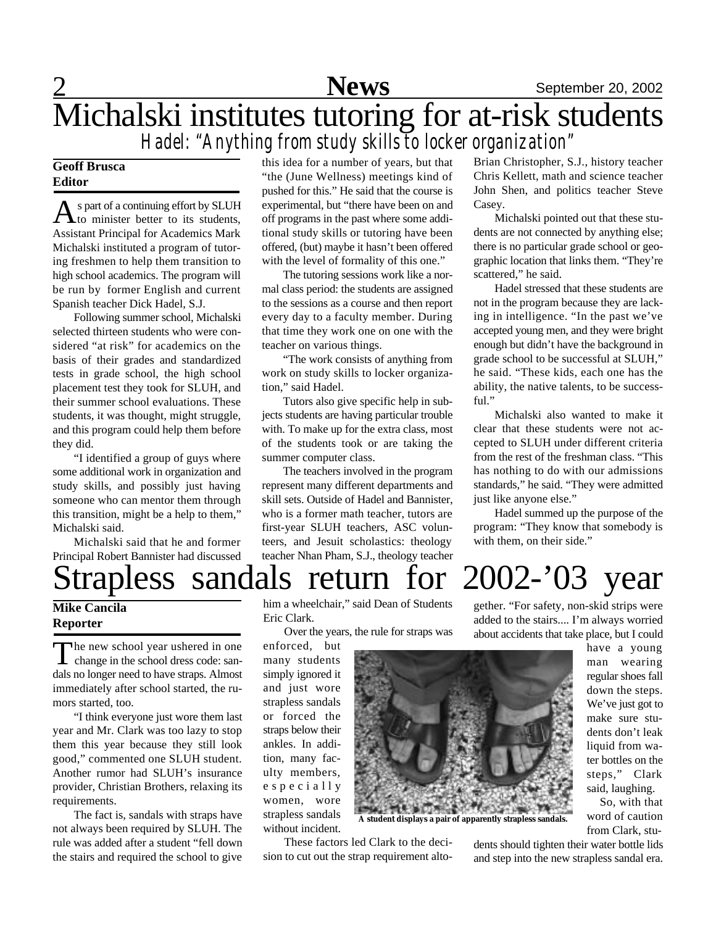## $2$  September 20, 2002 Michalski institutes tutoring for at-risk students *Hadel: "Anything from study skills to locker organization"*

## **Geoff Brusca Editor**

A s part of a continuing effort by SLUH<br>to minister better to its students, to minister better to its students, Assistant Principal for Academics Mark Michalski instituted a program of tutoring freshmen to help them transition to high school academics. The program will be run by former English and current Spanish teacher Dick Hadel, S.J.

Following summer school, Michalski selected thirteen students who were considered "at risk" for academics on the basis of their grades and standardized tests in grade school, the high school placement test they took for SLUH, and their summer school evaluations. These students, it was thought, might struggle, and this program could help them before they did.

"I identified a group of guys where some additional work in organization and study skills, and possibly just having someone who can mentor them through this transition, might be a help to them," Michalski said.

Michalski said that he and former Principal Robert Bannister had discussed

this idea for a number of years, but that "the (June Wellness) meetings kind of pushed for this." He said that the course is experimental, but "there have been on and off programs in the past where some additional study skills or tutoring have been offered, (but) maybe it hasn't been offered with the level of formality of this one."

The tutoring sessions work like a normal class period: the students are assigned to the sessions as a course and then report every day to a faculty member. During that time they work one on one with the teacher on various things.

"The work consists of anything from work on study skills to locker organization," said Hadel.

Tutors also give specific help in subjects students are having particular trouble with. To make up for the extra class, most of the students took or are taking the summer computer class.

The teachers involved in the program represent many different departments and skill sets. Outside of Hadel and Bannister, who is a former math teacher, tutors are first-year SLUH teachers, ASC volunteers, and Jesuit scholastics: theology teacher Nhan Pham, S.J., theology teacher

Brian Christopher, S.J., history teacher Chris Kellett, math and science teacher John Shen, and politics teacher Steve Casey.

Michalski pointed out that these students are not connected by anything else; there is no particular grade school or geographic location that links them. "They're scattered," he said.

Hadel stressed that these students are not in the program because they are lacking in intelligence. "In the past we've accepted young men, and they were bright enough but didn't have the background in grade school to be successful at SLUH," he said. "These kids, each one has the ability, the native talents, to be successful."

Michalski also wanted to make it clear that these students were not accepted to SLUH under different criteria from the rest of the freshman class. "This has nothing to do with our admissions standards," he said. "They were admitted just like anyone else."

Hadel summed up the purpose of the program: "They know that somebody is with them, on their side."

# Strapless sandals return for 2002-'03 year

## **Mike Cancila Reporter**

The new school year ushered in one<br>change in the school dress code: sanhe new school year ushered in one dals no longer need to have straps. Almost immediately after school started, the rumors started, too.

"I think everyone just wore them last year and Mr. Clark was too lazy to stop them this year because they still look good," commented one SLUH student. Another rumor had SLUH's insurance provider, Christian Brothers, relaxing its requirements.

The fact is, sandals with straps have not always been required by SLUH. The rule was added after a student "fell down the stairs and required the school to give him a wheelchair," said Dean of Students Eric Clark.

Over the years, the rule for straps was

enforced, but many students simply ignored it and just wore strapless sandals or forced the straps below their ankles. In addition, many faculty members, e s p e c i a l l y women, wore strapless sandals without incident.

These factors led Clark to the decision to cut out the strap requirement alto-

gether. "For safety, non-skid strips were added to the stairs.... I'm always worried about accidents that take place, but I could



**A student displays a pair of apparently strapless sandals.**

dents should tighten their water bottle lids and step into the new strapless sandal era.

have a young man wearing regular shoes fall down the steps. We've just got to make sure students don't leak liquid from water bottles on the steps," Clark said, laughing. So, with that

word of caution from Clark, stu-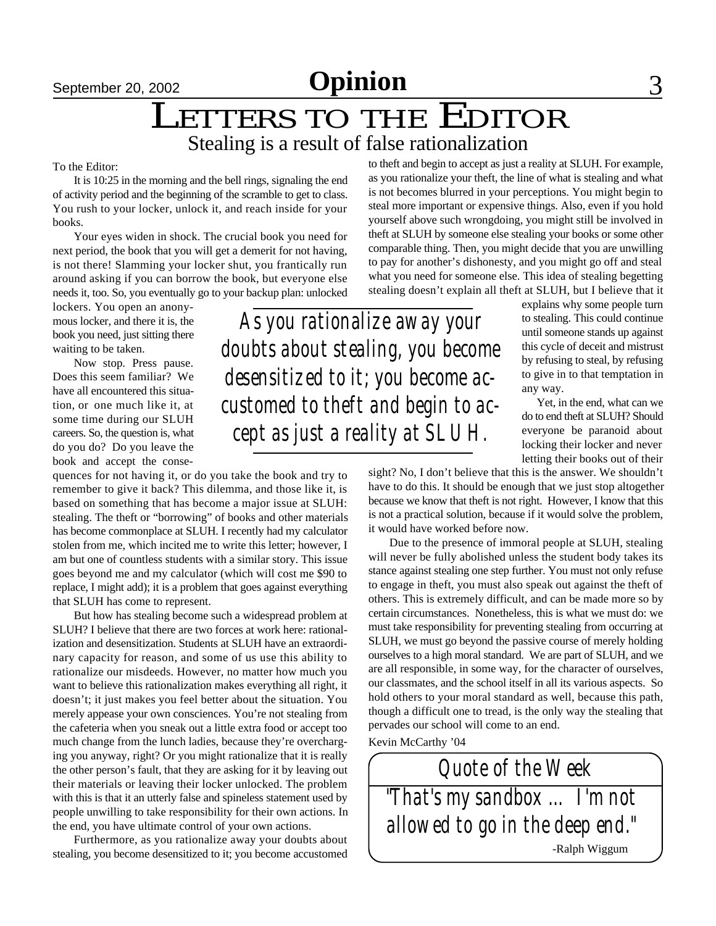## LETTERS TO THE EDITOR Stealing is a result of false rationalization

#### To the Editor:

It is 10:25 in the morning and the bell rings, signaling the end of activity period and the beginning of the scramble to get to class. You rush to your locker, unlock it, and reach inside for your books.

Your eyes widen in shock. The crucial book you need for next period, the book that you will get a demerit for not having, is not there! Slamming your locker shut, you frantically run around asking if you can borrow the book, but everyone else needs it, too. So, you eventually go to your backup plan: unlocked

lockers. You open an anonymous locker, and there it is, the book you need, just sitting there waiting to be taken.

Now stop. Press pause. Does this seem familiar? We have all encountered this situation, or one much like it, at some time during our SLUH careers. So, the question is, what do you do? Do you leave the book and accept the conse-

quences for not having it, or do you take the book and try to remember to give it back? This dilemma, and those like it, is based on something that has become a major issue at SLUH: stealing. The theft or "borrowing" of books and other materials has become commonplace at SLUH. I recently had my calculator stolen from me, which incited me to write this letter; however, I am but one of countless students with a similar story. This issue goes beyond me and my calculator (which will cost me \$90 to replace, I might add); it is a problem that goes against everything that SLUH has come to represent.

But how has stealing become such a widespread problem at SLUH? I believe that there are two forces at work here: rationalization and desensitization. Students at SLUH have an extraordinary capacity for reason, and some of us use this ability to rationalize our misdeeds. However, no matter how much you want to believe this rationalization makes everything all right, it doesn't; it just makes you feel better about the situation. You merely appease your own consciences. You're not stealing from the cafeteria when you sneak out a little extra food or accept too much change from the lunch ladies, because they're overcharging you anyway, right? Or you might rationalize that it is really the other person's fault, that they are asking for it by leaving out their materials or leaving their locker unlocked. The problem with this is that it an utterly false and spineless statement used by people unwilling to take responsibility for their own actions. In the end, you have ultimate control of your own actions.

Furthermore, as you rationalize away your doubts about stealing, you become desensitized to it; you become accustomed to theft and begin to accept as just a reality at SLUH. For example, as you rationalize your theft, the line of what is stealing and what is not becomes blurred in your perceptions. You might begin to steal more important or expensive things. Also, even if you hold yourself above such wrongdoing, you might still be involved in theft at SLUH by someone else stealing your books or some other comparable thing. Then, you might decide that you are unwilling to pay for another's dishonesty, and you might go off and steal what you need for someone else. This idea of stealing begetting stealing doesn't explain all theft at SLUH, but I believe that it

*As you rationalize away your doubts about stealing, you become desensitized to it; you become accustomed to theft and begin to accept as just a reality at SLUH.*

explains why some people turn to stealing. This could continue until someone stands up against this cycle of deceit and mistrust by refusing to steal, by refusing to give in to that temptation in any way.

Yet, in the end, what can we do to end theft at SLUH? Should everyone be paranoid about locking their locker and never letting their books out of their

sight? No, I don't believe that this is the answer. We shouldn't have to do this. It should be enough that we just stop altogether because we know that theft is not right. However, I know that this is not a practical solution, because if it would solve the problem, it would have worked before now.

Due to the presence of immoral people at SLUH, stealing will never be fully abolished unless the student body takes its stance against stealing one step further. You must not only refuse to engage in theft, you must also speak out against the theft of others. This is extremely difficult, and can be made more so by certain circumstances. Nonetheless, this is what we must do: we must take responsibility for preventing stealing from occurring at SLUH, we must go beyond the passive course of merely holding ourselves to a high moral standard. We are part of SLUH, and we are all responsible, in some way, for the character of ourselves, our classmates, and the school itself in all its various aspects. So hold others to your moral standard as well, because this path, though a difficult one to tread, is the only way the stealing that pervades our school will come to an end.

Kevin McCarthy '04

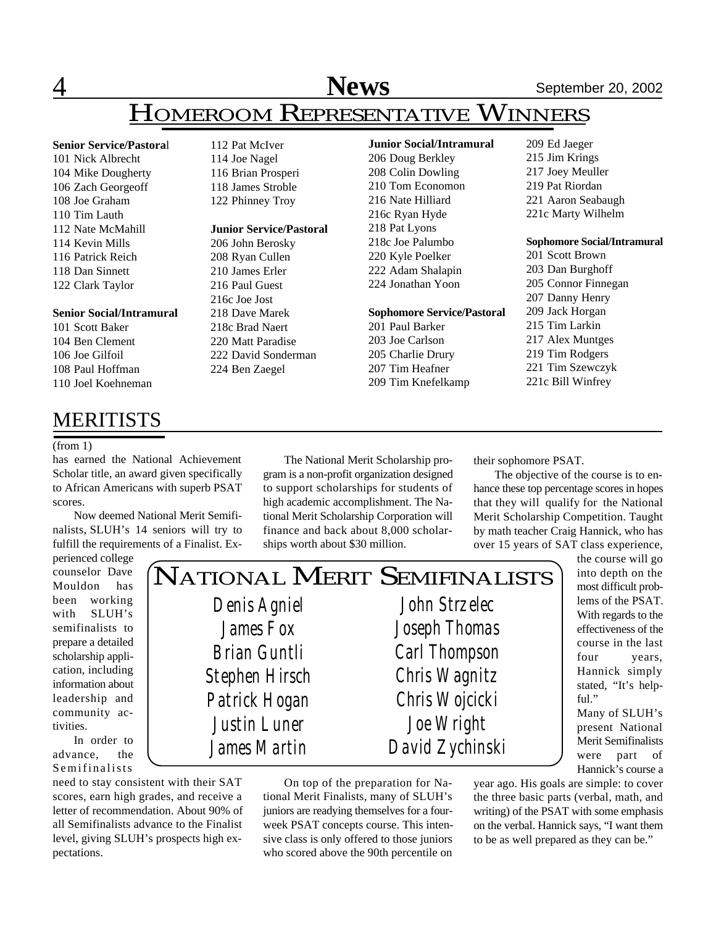# 4 **News** September 20, 2002

**Sophomore Social/Intramural**

 Ed Jaeger Jim Krings Joey Meuller 219 Pat Riordan Aaron Seabaugh 221c Marty Wilhelm

## HOMEROOM REPRESENTATIVE WINNERS

**Junior Social/Intramural**

**Sophomore Service/Pastoral**

*David Zychinski*

 Paul Barker Joe Carlson Charlie Drury Tim Heafner Tim Knefelkamp

 Doug Berkley Colin Dowling Tom Economon Nate Hilliard 216c Ryan Hyde Pat Lyons 218c Joe Palumbo Kyle Poelker Adam Shalapin Jonathan Yoon

 Pat McIver Joe Nagel Brian Prosperi James Stroble Phinney Troy

**Junior Service/Pastoral** John Berosky Ryan Cullen James Erler Paul Guest 216c Joe Jost Dave Marek 218c Brad Naert Matt Paradise David Sonderman Ben Zaegel

#### **Senior Service/Pastora**l

 Nick Albrecht Mike Dougherty Zach Georgeoff Joe Graham Tim Lauth Nate McMahill Kevin Mills Patrick Reich Dan Sinnett Clark Taylor

#### **Senior Social/Intramural**

 Scott Baker Ben Clement Joe Gilfoil Paul Hoffman Joel Koehneman

## MERITISTS

#### (from 1)

has earned the National Achievement Scholar title, an award given specifically to African Americans with superb PSAT scores.

Now deemed National Merit Semifinalists, SLUH's 14 seniors will try to fulfill the requirements of a Finalist. Experienced college

The National Merit Scholarship pro-

their sophomore PSAT.

The objective of the course is to enhance these top percentage scores in hopes that they will qualify for the National Merit Scholarship Competition. Taught by math teacher Craig Hannick, who has over 15 years of SAT class experience, the course will go

counselor Dave Mouldon has been working with SLUH's semifinalists to prepare a detailed scholarship application, including information about leadership and community activities.

In order to advance, the Semifinalists

need to stay consistent with their SAT scores, earn high grades, and receive a letter of recommendation. About 90% of all Semifinalists advance to the Finalist level, giving SLUH's prospects high expectations.

gram is a non-profit organization designed to support scholarships for students of high academic accomplishment. The National Merit Scholarship Corporation will finance and back about 8,000 scholarships worth about \$30 million.

 Tim Larkin Alex Muntges Tim Rodgers Tim Szewczyk 221c Bill Winfrey

 Scott Brown Dan Burghoff Connor Finnegan Danny Henry Jack Horgan

> Hannick simply stated, "It's helpful." Many of SLUH's present National Merit Semifinalists were part of Hannick's course a

into depth on the most difficult problems of the PSAT. With regards to the effectiveness of the course in the last four years,

On top of the preparation for National Merit Finalists, many of SLUH's juniors are readying themselves for a fourweek PSAT concepts course. This intensive class is only offered to those juniors who scored above the 90th percentile on

year ago. His goals are simple: to cover the three basic parts (verbal, math, and writing) of the PSAT with some emphasis on the verbal. Hannick says, "I want them to be as well prepared as they can be."

## *Denis Agniel James Fox Brian Guntli Stephen Hirsch Patrick Hogan Justin Luner* NATIONAL MERIT SEMIFINALISTS *John Strzelec Joseph Thomas Carl Thompson Chris Wagnitz Chris Wojcicki Joe Wright*

*James Martin*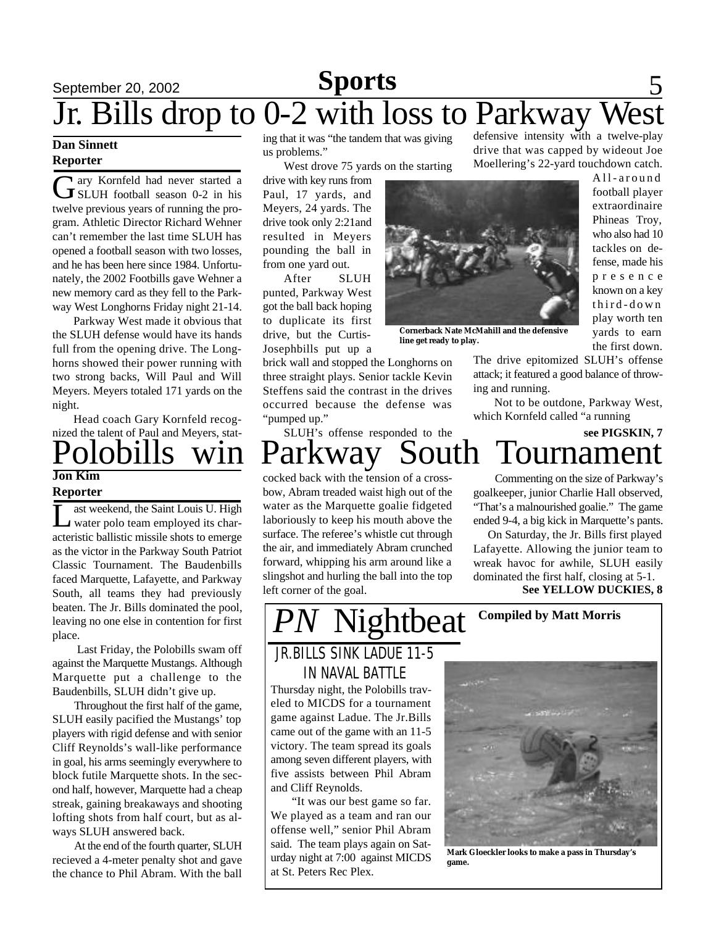# September 20, 2002 **Sports** 5 Jr. Bills drop to 0-2 with loss to Parkway West

## **Reporter**

Gary Kornfeld had never started a<br>
SLUH football season 0-2 in his ary Kornfeld had never started a twelve previous years of running the program. Athletic Director Richard Wehner can't remember the last time SLUH has opened a football season with two losses, and he has been here since 1984. Unfortunately, the 2002 Footbills gave Wehner a new memory card as they fell to the Parkway West Longhorns Friday night 21-14.

Parkway West made it obvious that the SLUH defense would have its hands full from the opening drive. The Longhorns showed their power running with two strong backs, Will Paul and Will Meyers. Meyers totaled 171 yards on the night.

Head coach Gary Kornfeld recognized the talent of Paul and Meyers, stat-

## **Jon Kim Reporter**

L ast weekend, the Saint Louis U. High water polo team employed its characteristic ballistic missile shots to emerge as the victor in the Parkway South Patriot Classic Tournament. The Baudenbills faced Marquette, Lafayette, and Parkway South, all teams they had previously beaten. The Jr. Bills dominated the pool, leaving no one else in contention for first place.

 Last Friday, the Polobills swam off against the Marquette Mustangs. Although Marquette put a challenge to the Baudenbills, SLUH didn't give up.

Throughout the first half of the game, SLUH easily pacified the Mustangs' top players with rigid defense and with senior Cliff Reynolds's wall-like performance in goal, his arms seemingly everywhere to block futile Marquette shots. In the second half, however, Marquette had a cheap streak, gaining breakaways and shooting lofting shots from half court, but as always SLUH answered back.

At the end of the fourth quarter, SLUH recieved a 4-meter penalty shot and gave the chance to Phil Abram. With the ball

**Dan Sinnett** intensity with a twelve-play<br>
ing that it was "the tandem that was giving defensive intensity with a twelve-play<br>
drive that was canned by wideout Loe us problems."

West drove 75 yards on the starting

drive with key runs from Paul, 17 yards, and Meyers, 24 yards. The drive took only 2:21and resulted in Meyers pounding the ball in from one yard out.

After SLUH punted, Parkway West got the ball back hoping to duplicate its first drive, but the Curtis-Josephbills put up a

brick wall and stopped the Longhorns on three straight plays. Senior tackle Kevin Steffens said the contrast in the drives occurred because the defense was "pumped up."

SLUH's offense responded to the

cocked back with the tension of a crossbow, Abram treaded waist high out of the water as the Marquette goalie fidgeted laboriously to keep his mouth above the surface. The referee's whistle cut through the air, and immediately Abram crunched forward, whipping his arm around like a slingshot and hurling the ball into the top left corner of the goal.



**Cornerback Nate McMahill and the defensive line get ready to play.**

**Principally Compiled by Matt Morris** 

All-around football player extraordinaire Phineas Troy, who also had 10 tackles on defense, made his p r e s e n c e known on a key third-down play worth ten yards to earn the first down.

The drive epitomized SLUH's offense attack; it featured a good balance of throwing and running.

drive that was capped by wideout Joe

Not to be outdone, Parkway West, which Kornfeld called "a running

**see PIGSKIN, 7**

olobills win Parkway South Tournament

Commenting on the size of Parkway's goalkeeper, junior Charlie Hall observed, "That's a malnourished goalie." The game ended 9-4, a big kick in Marquette's pants.

 On Saturday, the Jr. Bills first played Lafayette. Allowing the junior team to wreak havoc for awhile, SLUH easily dominated the first half, closing at 5-1. **See YELLOW DUCKIES, 8**

## JR.BILLS SINK LADUE 11-5 IN NAVAL BATTLE

Thursday night, the Polobills traveled to MICDS for a tournament game against Ladue. The Jr.Bills came out of the game with an 11-5 victory. The team spread its goals among seven different players, with five assists between Phil Abram and Cliff Reynolds.

"It was our best game so far. We played as a team and ran our offense well," senior Phil Abram said. The team plays again on Saturday night at 7:00 against MICDS at St. Peters Rec Plex.



**Mark Gloeckler looks to make a pass in Thursday's game.**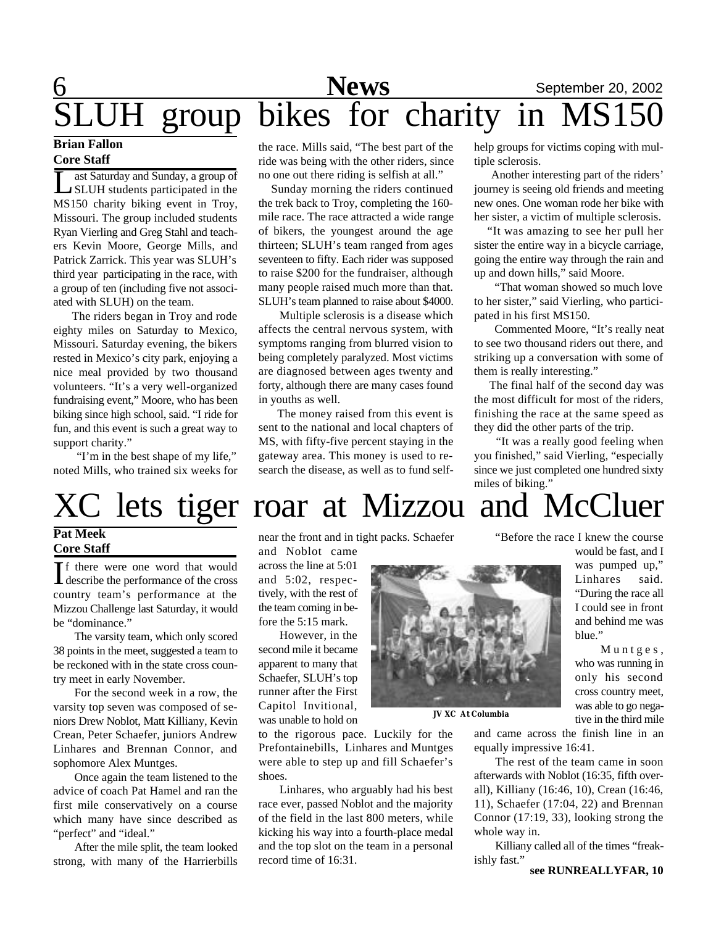# 6 **News** September 20, 2002 News September 20, 200

## **Brian Fallon Core Staff**

**L** ast Saturday and Sunday, a group of ast Saturday and Sunday, a group of MS150 charity biking event in Troy, Missouri. The group included students Ryan Vierling and Greg Stahl and teachers Kevin Moore, George Mills, and Patrick Zarrick. This year was SLUH's third year participating in the race, with a group of ten (including five not associated with SLUH) on the team.

 The riders began in Troy and rode eighty miles on Saturday to Mexico, Missouri. Saturday evening, the bikers rested in Mexico's city park, enjoying a nice meal provided by two thousand volunteers. "It's a very well-organized fundraising event," Moore, who has been biking since high school, said. "I ride for fun, and this event is such a great way to support charity."

 "I'm in the best shape of my life," noted Mills, who trained six weeks for

## **Pat Meek Core Staff**

If there were one word that would<br>describe the performance of the cross **T**f there were one word that would country team's performance at the Mizzou Challenge last Saturday, it would be "dominance."

The varsity team, which only scored 38 points in the meet, suggested a team to be reckoned with in the state cross country meet in early November.

For the second week in a row, the varsity top seven was composed of seniors Drew Noblot, Matt Killiany, Kevin Crean, Peter Schaefer, juniors Andrew Linhares and Brennan Connor, and sophomore Alex Muntges.

Once again the team listened to the advice of coach Pat Hamel and ran the first mile conservatively on a course which many have since described as "perfect" and "ideal."

After the mile split, the team looked strong, with many of the Harrierbills the race. Mills said, "The best part of the ride was being with the other riders, since no one out there riding is selfish at all."

 Sunday morning the riders continued the trek back to Troy, completing the 160 mile race. The race attracted a wide range of bikers, the youngest around the age thirteen; SLUH's team ranged from ages seventeen to fifty. Each rider was supposed to raise \$200 for the fundraiser, although many people raised much more than that. SLUH's team planned to raise about \$4000.

 Multiple sclerosis is a disease which affects the central nervous system, with symptoms ranging from blurred vision to being completely paralyzed. Most victims are diagnosed between ages twenty and forty, although there are many cases found in youths as well.

 The money raised from this event is sent to the national and local chapters of MS, with fifty-five percent staying in the gateway area. This money is used to research the disease, as well as to fund selfhelp groups for victims coping with multiple sclerosis.

 Another interesting part of the riders' journey is seeing old friends and meeting new ones. One woman rode her bike with her sister, a victim of multiple sclerosis.

 "It was amazing to see her pull her sister the entire way in a bicycle carriage, going the entire way through the rain and up and down hills," said Moore.

 "That woman showed so much love to her sister," said Vierling, who participated in his first MS150.

 Commented Moore, "It's really neat to see two thousand riders out there, and striking up a conversation with some of them is really interesting."

 The final half of the second day was the most difficult for most of the riders, finishing the race at the same speed as they did the other parts of the trip.

 "It was a really good feeling when you finished," said Vierling, "especially since we just completed one hundred sixty miles of biking."

# XC lets tiger roar at Mizzou and McCluer

near the front and in tight packs. Schaefer

and Noblot came across the line at 5:01 and 5:02, respectively, with the rest of the team coming in before the 5:15 mark.

However, in the second mile it became apparent to many that Schaefer, SLUH's top runner after the First Capitol Invitional, was unable to hold on

to the rigorous pace. Luckily for the Prefontainebills, Linhares and Muntges were able to step up and fill Schaefer's shoes.

Linhares, who arguably had his best race ever, passed Noblot and the majority of the field in the last 800 meters, while kicking his way into a fourth-place medal and the top slot on the team in a personal record time of 16:31.

"Before the race I knew the course would be fast, and I

was pumped up," Linhares said. "During the race all I could see in front and behind me was blue." Muntges,

who was running in only his second cross country meet, was able to go negative in the third mile

and came across the finish line in an equally impressive 16:41.

The rest of the team came in soon afterwards with Noblot (16:35, fifth overall), Killiany (16:46, 10), Crean (16:46, 11), Schaefer (17:04, 22) and Brennan Connor (17:19, 33), looking strong the whole way in.

Killiany called all of the times "freakishly fast."

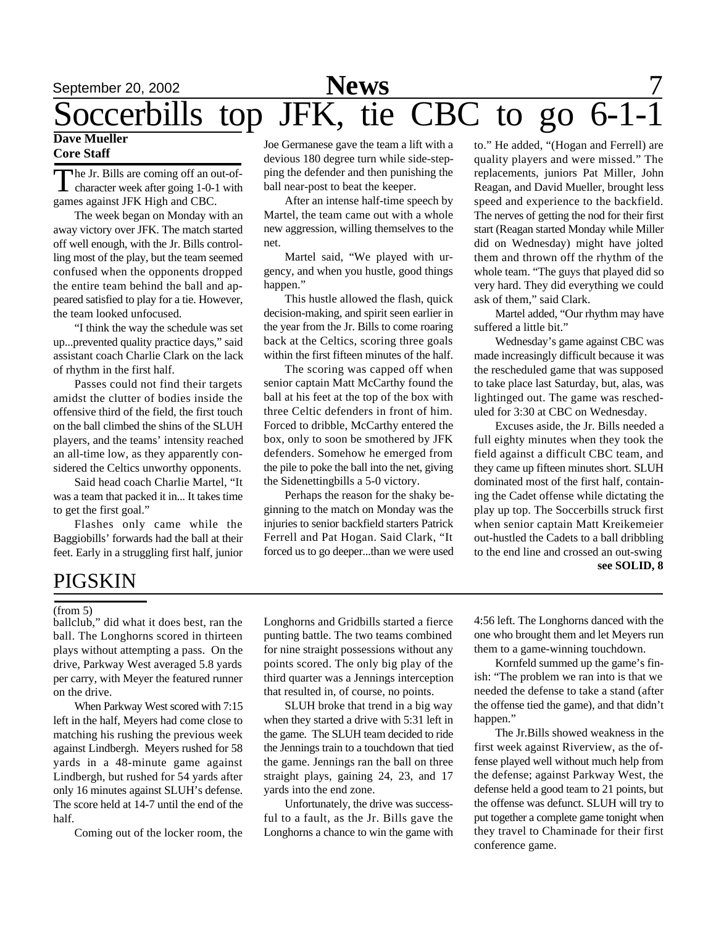# September 20, 2002<br> **News**<br> **Soccerbills top JFK, tie CBC to go 6-1-1**  $\overline{\text{CBC to go}}$

### **Dave Mueller Core Staff**

The Jr. Bills are coming off an out-of-<br>character week after going 1-0-1 with he Jr. Bills are coming off an out-ofgames against JFK High and CBC.

The week began on Monday with an away victory over JFK. The match started off well enough, with the Jr. Bills controlling most of the play, but the team seemed confused when the opponents dropped the entire team behind the ball and appeared satisfied to play for a tie. However, the team looked unfocused.

"I think the way the schedule was set up...prevented quality practice days," said assistant coach Charlie Clark on the lack of rhythm in the first half.

Passes could not find their targets amidst the clutter of bodies inside the offensive third of the field, the first touch on the ball climbed the shins of the SLUH players, and the teams' intensity reached an all-time low, as they apparently considered the Celtics unworthy opponents.

Said head coach Charlie Martel, "It was a team that packed it in... It takes time to get the first goal."

Flashes only came while the Baggiobills' forwards had the ball at their feet. Early in a struggling first half, junior Joe Germanese gave the team a lift with a devious 180 degree turn while side-stepping the defender and then punishing the ball near-post to beat the keeper.

After an intense half-time speech by Martel, the team came out with a whole new aggression, willing themselves to the net.

Martel said, "We played with urgency, and when you hustle, good things happen."

This hustle allowed the flash, quick decision-making, and spirit seen earlier in the year from the Jr. Bills to come roaring back at the Celtics, scoring three goals within the first fifteen minutes of the half.

The scoring was capped off when senior captain Matt McCarthy found the ball at his feet at the top of the box with three Celtic defenders in front of him. Forced to dribble, McCarthy entered the box, only to soon be smothered by JFK defenders. Somehow he emerged from the pile to poke the ball into the net, giving the Sidenettingbills a 5-0 victory.

Perhaps the reason for the shaky beginning to the match on Monday was the injuries to senior backfield starters Patrick Ferrell and Pat Hogan. Said Clark, "It forced us to go deeper...than we were used

to." He added, "(Hogan and Ferrell) are quality players and were missed." The replacements, juniors Pat Miller, John Reagan, and David Mueller, brought less speed and experience to the backfield. The nerves of getting the nod for their first start (Reagan started Monday while Miller did on Wednesday) might have jolted them and thrown off the rhythm of the whole team. "The guys that played did so very hard. They did everything we could ask of them," said Clark.

Martel added, "Our rhythm may have suffered a little bit."

Wednesday's game against CBC was made increasingly difficult because it was the rescheduled game that was supposed to take place last Saturday, but, alas, was lightinged out. The game was rescheduled for 3:30 at CBC on Wednesday.

Excuses aside, the Jr. Bills needed a full eighty minutes when they took the field against a difficult CBC team, and they came up fifteen minutes short. SLUH dominated most of the first half, containing the Cadet offense while dictating the play up top. The Soccerbills struck first when senior captain Matt Kreikemeier out-hustled the Cadets to a ball dribbling to the end line and crossed an out-swing **see SOLID, 8**

## PIGSKIN

#### (from 5)

ballclub," did what it does best, ran the ball. The Longhorns scored in thirteen plays without attempting a pass. On the drive, Parkway West averaged 5.8 yards per carry, with Meyer the featured runner on the drive.

When Parkway West scored with 7:15 left in the half, Meyers had come close to matching his rushing the previous week against Lindbergh. Meyers rushed for 58 yards in a 48-minute game against Lindbergh, but rushed for 54 yards after only 16 minutes against SLUH's defense. The score held at 14-7 until the end of the half.

Coming out of the locker room, the

Longhorns and Gridbills started a fierce punting battle. The two teams combined for nine straight possessions without any points scored. The only big play of the third quarter was a Jennings interception that resulted in, of course, no points.

SLUH broke that trend in a big way when they started a drive with 5:31 left in the game. The SLUH team decided to ride the Jennings train to a touchdown that tied the game. Jennings ran the ball on three straight plays, gaining 24, 23, and 17 yards into the end zone.

Unfortunately, the drive was successful to a fault, as the Jr. Bills gave the Longhorns a chance to win the game with 4:56 left. The Longhorns danced with the one who brought them and let Meyers run them to a game-winning touchdown.

Kornfeld summed up the game's finish: "The problem we ran into is that we needed the defense to take a stand (after the offense tied the game), and that didn't happen."

The Jr.Bills showed weakness in the first week against Riverview, as the offense played well without much help from the defense; against Parkway West, the defense held a good team to 21 points, but the offense was defunct. SLUH will try to put together a complete game tonight when they travel to Chaminade for their first conference game.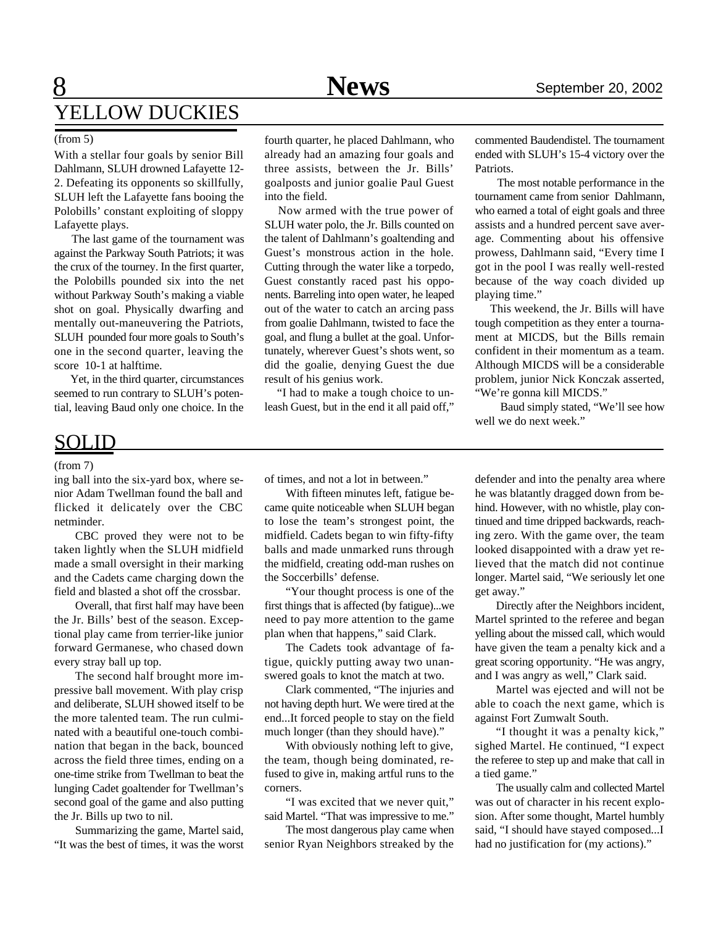## 8 September 20, 2002 YELLOW DUCKIES

#### (from 5)

With a stellar four goals by senior Bill Dahlmann, SLUH drowned Lafayette 12- 2. Defeating its opponents so skillfully, SLUH left the Lafayette fans booing the Polobills' constant exploiting of sloppy Lafayette plays.

 The last game of the tournament was against the Parkway South Patriots; it was the crux of the tourney. In the first quarter, the Polobills pounded six into the net without Parkway South's making a viable shot on goal. Physically dwarfing and mentally out-maneuvering the Patriots, SLUH pounded four more goals to South's one in the second quarter, leaving the score 10-1 at halftime.

 Yet, in the third quarter, circumstances seemed to run contrary to SLUH's potential, leaving Baud only one choice. In the

## SOLID

#### (from 7)

ing ball into the six-yard box, where senior Adam Twellman found the ball and flicked it delicately over the CBC netminder.

CBC proved they were not to be taken lightly when the SLUH midfield made a small oversight in their marking and the Cadets came charging down the field and blasted a shot off the crossbar.

Overall, that first half may have been the Jr. Bills' best of the season. Exceptional play came from terrier-like junior forward Germanese, who chased down every stray ball up top.

The second half brought more impressive ball movement. With play crisp and deliberate, SLUH showed itself to be the more talented team. The run culminated with a beautiful one-touch combination that began in the back, bounced across the field three times, ending on a one-time strike from Twellman to beat the lunging Cadet goaltender for Twellman's second goal of the game and also putting the Jr. Bills up two to nil.

Summarizing the game, Martel said, "It was the best of times, it was the worst

fourth quarter, he placed Dahlmann, who already had an amazing four goals and three assists, between the Jr. Bills' goalposts and junior goalie Paul Guest into the field.

 Now armed with the true power of SLUH water polo, the Jr. Bills counted on the talent of Dahlmann's goaltending and Guest's monstrous action in the hole. Cutting through the water like a torpedo, Guest constantly raced past his opponents. Barreling into open water, he leaped out of the water to catch an arcing pass from goalie Dahlmann, twisted to face the goal, and flung a bullet at the goal. Unfortunately, wherever Guest's shots went, so did the goalie, denying Guest the due result of his genius work.

 "I had to make a tough choice to unleash Guest, but in the end it all paid off,"

commented Baudendistel. The tournament ended with SLUH's 15-4 victory over the Patriots.

 The most notable performance in the tournament came from senior Dahlmann, who earned a total of eight goals and three assists and a hundred percent save average. Commenting about his offensive prowess, Dahlmann said, "Every time I got in the pool I was really well-rested because of the way coach divided up playing time."

 This weekend, the Jr. Bills will have tough competition as they enter a tournament at MICDS, but the Bills remain confident in their momentum as a team. Although MICDS will be a considerable problem, junior Nick Konczak asserted, "We're gonna kill MICDS."

 Baud simply stated, "We'll see how well we do next week."

of times, and not a lot in between."

With fifteen minutes left, fatigue became quite noticeable when SLUH began to lose the team's strongest point, the midfield. Cadets began to win fifty-fifty balls and made unmarked runs through the midfield, creating odd-man rushes on the Soccerbills' defense.

"Your thought process is one of the first things that is affected (by fatigue)...we need to pay more attention to the game plan when that happens," said Clark.

The Cadets took advantage of fatigue, quickly putting away two unanswered goals to knot the match at two.

Clark commented, "The injuries and not having depth hurt. We were tired at the end...It forced people to stay on the field much longer (than they should have)."

With obviously nothing left to give, the team, though being dominated, refused to give in, making artful runs to the corners.

"I was excited that we never quit," said Martel. "That was impressive to me."

The most dangerous play came when senior Ryan Neighbors streaked by the defender and into the penalty area where he was blatantly dragged down from behind. However, with no whistle, play continued and time dripped backwards, reaching zero. With the game over, the team looked disappointed with a draw yet relieved that the match did not continue longer. Martel said, "We seriously let one get away."

Directly after the Neighbors incident, Martel sprinted to the referee and began yelling about the missed call, which would have given the team a penalty kick and a great scoring opportunity. "He was angry, and I was angry as well," Clark said.

Martel was ejected and will not be able to coach the next game, which is against Fort Zumwalt South.

"I thought it was a penalty kick," sighed Martel. He continued, "I expect the referee to step up and make that call in a tied game."

The usually calm and collected Martel was out of character in his recent explosion. After some thought, Martel humbly said, "I should have stayed composed...I had no justification for (my actions)."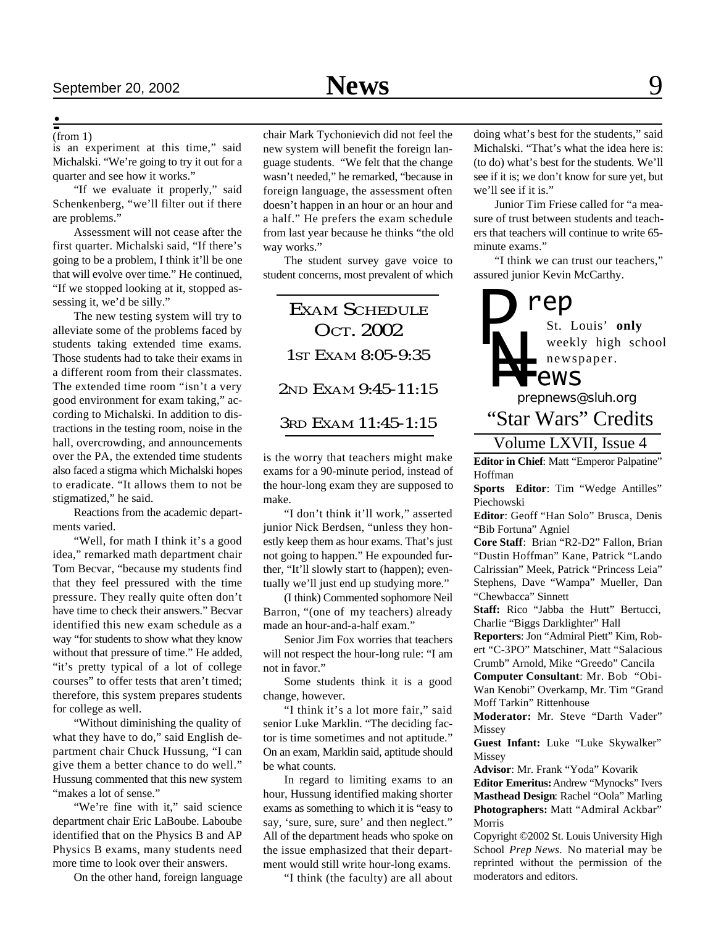## (from 1)

is an experiment at this time," said Michalski. "We're going to try it out for a quarter and see how it works."

"If we evaluate it properly," said Schenkenberg, "we'll filter out if there are problems."

Assessment will not cease after the first quarter. Michalski said, "If there's going to be a problem, I think it'll be one that will evolve over time." He continued, "If we stopped looking at it, stopped assessing it, we'd be silly."

The new testing system will try to alleviate some of the problems faced by students taking extended time exams. Those students had to take their exams in a different room from their classmates. The extended time room "isn't a very good environment for exam taking," according to Michalski. In addition to distractions in the testing room, noise in the hall, overcrowding, and announcements over the PA, the extended time students also faced a stigma which Michalski hopes to eradicate. "It allows them to not be stigmatized," he said.

Reactions from the academic departments varied.

"Well, for math I think it's a good idea," remarked math department chair Tom Becvar, "because my students find that they feel pressured with the time pressure. They really quite often don't have time to check their answers." Becvar identified this new exam schedule as a way "for students to show what they know without that pressure of time." He added, "it's pretty typical of a lot of college courses" to offer tests that aren't timed; therefore, this system prepares students for college as well.

"Without diminishing the quality of what they have to do," said English department chair Chuck Hussung, "I can give them a better chance to do well." Hussung commented that this new system "makes a lot of sense."

"We're fine with it," said science department chair Eric LaBoube. Laboube identified that on the Physics B and AP Physics B exams, many students need more time to look over their answers.

On the other hand, foreign language

chair Mark Tychonievich did not feel the new system will benefit the foreign language students. "We felt that the change wasn't needed," he remarked, "because in foreign language, the assessment often doesn't happen in an hour or an hour and a half." He prefers the exam schedule from last year because he thinks "the old way works."

The student survey gave voice to student concerns, most prevalent of which

EXAM SCHEDULE OCT. 2002 1ST EXAM 8:05-9:35 2ND EXAM 9:45-11:15 3RD EXAM 11:45-1:15

is the worry that teachers might make exams for a 90-minute period, instead of the hour-long exam they are supposed to make.

"I don't think it'll work," asserted junior Nick Berdsen, "unless they honestly keep them as hour exams. That's just not going to happen." He expounded further, "It'll slowly start to (happen); eventually we'll just end up studying more."

(I think) Commented sophomore Neil Barron, "(one of my teachers) already made an hour-and-a-half exam."

Senior Jim Fox worries that teachers will not respect the hour-long rule: "I am not in favor."

Some students think it is a good change, however.

"I think it's a lot more fair," said senior Luke Marklin. "The deciding factor is time sometimes and not aptitude." On an exam, Marklin said, aptitude should be what counts.

In regard to limiting exams to an hour, Hussung identified making shorter exams as something to which it is "easy to say, 'sure, sure, sure' and then neglect." All of the department heads who spoke on the issue emphasized that their department would still write hour-long exams.

"I think (the faculty) are all about

doing what's best for the students," said Michalski. "That's what the idea here is: (to do) what's best for the students. We'll see if it is; we don't know for sure yet, but we'll see if it is."

Junior Tim Friese called for "a measure of trust between students and teachers that teachers will continue to write 65 minute exams."

"I think we can trust our teachers," assured junior Kevin McCarthy.



**Editor in Chief**: Matt "Emperor Palpatine" Hoffman

**Sports Editor**: Tim "Wedge Antilles" Piechowski

**Editor**: Geoff "Han Solo" Brusca, Denis "Bib Fortuna" Agniel

**Core Staff**: Brian "R2-D2" Fallon, Brian "Dustin Hoffman" Kane, Patrick "Lando Calrissian" Meek, Patrick "Princess Leia" Stephens, Dave "Wampa" Mueller, Dan "Chewbacca" Sinnett

**Staff:** Rico "Jabba the Hutt" Bertucci, Charlie "Biggs Darklighter" Hall

**Reporters**: Jon "Admiral Piett" Kim, Robert "C-3PO" Matschiner, Matt "Salacious Crumb" Arnold, Mike "Greedo" Cancila

**Computer Consultant**: Mr. Bob "Obi-Wan Kenobi" Overkamp, Mr. Tim "Grand Moff Tarkin" Rittenhouse

**Moderator:** Mr. Steve "Darth Vader" **Missey** 

**Guest Infant:** Luke "Luke Skywalker" Missey

**Advisor**: Mr. Frank "Yoda" Kovarik **Editor Emeritus:** Andrew "Mynocks" Ivers **Masthead Design**: Rachel "Oola" Marling **Photographers:** Matt "Admiral Ackbar" Morris

Copyright ©2002 St. Louis University High School *Prep News.* No material may be reprinted without the permission of the moderators and editors.